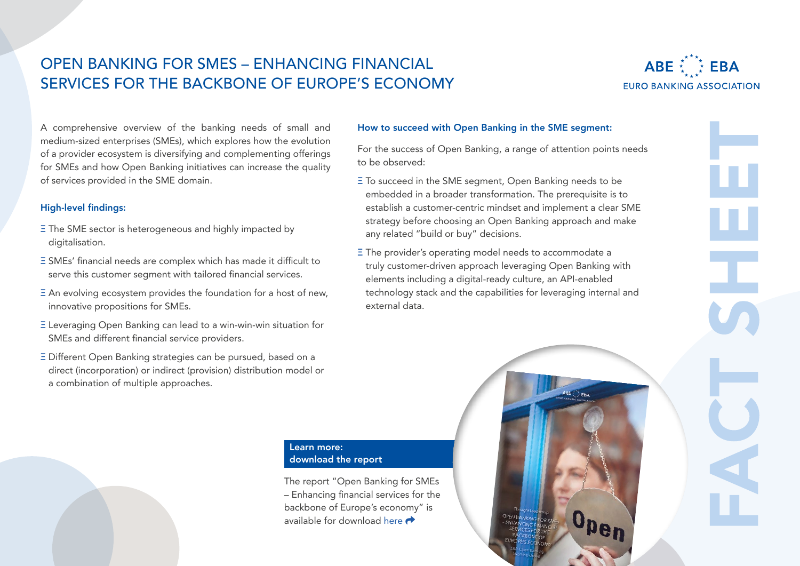# OPEN BANKING FOR SMES – ENHANCING FINANCIAL SERVICES FOR THE BACKBONE OF EUROPE'S ECONOMY

Learn more:

download the report

The report "Open Banking for SMEs – Enhancing financial services for the backbone of Europe's economy" is available for download here



τ

K

A comprehensive overview of the banking needs of small and medium-sized enterprises (SMEs), which explores how the evolution of a provider ecosystem is diversifying and complementing offerings for SMEs and how Open Banking initiatives can increase the quality of services provided in the SME domain.

# High-level findings:

- **Ξ** The SME sector is heterogeneous and highly impacted by digitalisation.
- **Ξ** SMEs' financial needs are complex which has made it difficult to serve this customer segment with tailored financial services.
- **Ξ** An evolving ecosystem provides the foundation for a host of new, innovative propositions for SMEs.
- **Ξ** Leveraging Open Banking can lead to a win-win-win situation for SMEs and different financial service providers.
- **Ξ** Different Open Banking strategies can be pursued, based on a direct (incorporation) or indirect (provision) distribution model or a combination of multiple approaches.

# How to succeed with Open Banking in the SME segment:

For the success of Open Banking, a range of attention points needs to be observed:

- **Ξ** To succeed in the SME segment, Open Banking needs to be embedded in a broader transformation. The prerequisite is to establish a customer-centric mindset and implement a clear SME strategy before choosing an Open Banking approach and make any related "build or buy" decisions.
- **Ξ** The provider's operating model needs to accommodate a truly customer-driven approach leveraging Open Banking with elements including a digital-ready culture, an API-enabled technology stack and the capabilities for leveraging internal and external data.